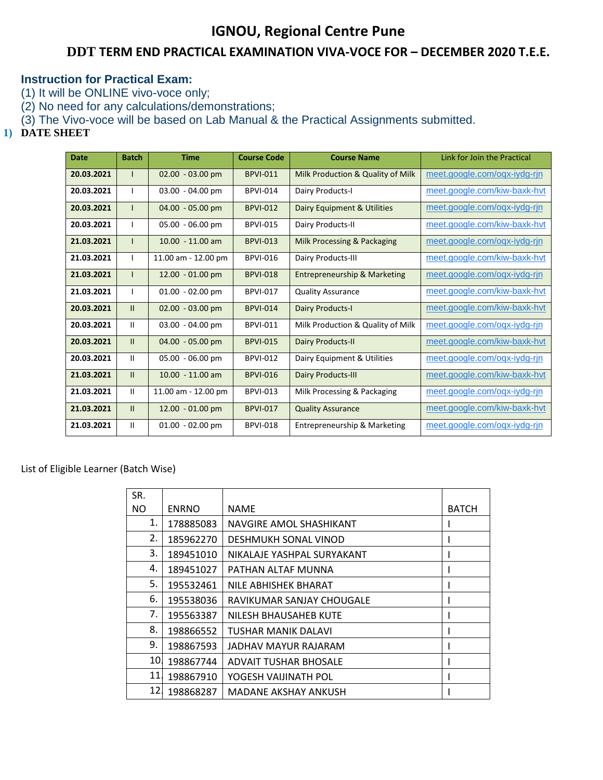## **IGNOU, Regional Centre Pune**

## **DDT TERM END PRACTICAL EXAMINATION VIVA-VOCE FOR – DECEMBER 2020 T.E.E.**

## **Instruction for Practical Exam:**

(1) It will be ONLINE vivo-voce only;

(2) No need for any calculations/demonstrations;

(3) The Vivo-voce will be based on Lab Manual & the Practical Assignments submitted.

## **1) DATE SHEET**

| Date       | <b>Batch</b>  | <b>Time</b>         | <b>Course Code</b> | <b>Course Name</b>                | Link for Join the Practical  |
|------------|---------------|---------------------|--------------------|-----------------------------------|------------------------------|
| 20.03.2021 |               | $02.00 - 03.00$ pm  | <b>BPVI-011</b>    | Milk Production & Quality of Milk | meet.google.com/oqx-iydg-rjn |
| 20.03.2021 |               | 03.00 - 04.00 pm    | <b>BPVI-014</b>    | Dairy Products-I                  | meet.google.com/kiw-baxk-hyt |
| 20.03.2021 |               | 04.00 - 05.00 pm    | <b>BPVI-012</b>    | Dairy Equipment & Utilities       | meet.google.com/ogx-iydg-rin |
| 20.03.2021 |               | 05.00 - 06.00 pm    | <b>BPVI-015</b>    | Dairy Products-II                 | meet.google.com/kiw-baxk-hvt |
| 21.03.2021 |               | $10.00 - 11.00$ am  | <b>BPVI-013</b>    | Milk Processing & Packaging       | meet.google.com/ogx-iydg-rin |
| 21.03.2021 |               | 11.00 am - 12.00 pm | <b>BPVI-016</b>    | Dairy Products-III                | meet.google.com/kiw-baxk-hvt |
| 21.03.2021 |               | 12.00 - 01.00 pm    | <b>BPVI-018</b>    | Entrepreneurship & Marketing      | meet.google.com/oqx-iydg-rjn |
| 21.03.2021 |               | $01.00 - 02.00$ pm  | <b>BPVI-017</b>    | <b>Quality Assurance</b>          | meet.google.com/kiw-baxk-hyt |
| 20.03.2021 | П.            | $02.00 - 03.00$ pm  | <b>BPVI-014</b>    | <b>Dairy Products-I</b>           | meet.google.com/kiw-baxk-hyt |
| 20.03.2021 | Ħ.            | 03.00 - 04.00 pm    | <b>BPVI-011</b>    | Milk Production & Quality of Milk | meet.google.com/oqx-iydg-rjn |
| 20.03.2021 | П.            | 04.00 - 05.00 pm    | <b>BPVI-015</b>    | <b>Dairy Products-II</b>          | meet.google.com/kiw-baxk-hyt |
| 20.03.2021 | Ħ.            | 05.00 - 06.00 pm    | <b>BPVI-012</b>    | Dairy Equipment & Utilities       | meet.google.com/ogx-iydg-rin |
| 21.03.2021 | $\mathbf{II}$ | $10.00 - 11.00$ am  | <b>BPVI-016</b>    | <b>Dairy Products-III</b>         | meet.google.com/kiw-baxk-hvt |
| 21.03.2021 | Ш.            | 11.00 am - 12.00 pm | <b>BPVI-013</b>    | Milk Processing & Packaging       | meet.google.com/oqx-iydg-rjn |
| 21.03.2021 | $\mathbf{II}$ | 12.00 - 01.00 pm    | <b>BPVI-017</b>    | <b>Quality Assurance</b>          | meet.google.com/kiw-baxk-hvt |
| 21.03.2021 | Ш             | 01.00 - 02.00 pm    | <b>BPVI-018</b>    | Entrepreneurship & Marketing      | meet.google.com/ogx-iydg-rin |

List of Eligible Learner (Batch Wise)

| SR.             |              |                              |              |
|-----------------|--------------|------------------------------|--------------|
| NO.             | <b>ENRNO</b> | <b>NAME</b>                  | <b>BATCH</b> |
| 1.              | 178885083    | NAVGIRE AMOL SHASHIKANT      |              |
| 2.              | 185962270    | DESHMUKH SONAL VINOD         |              |
| 3.              | 189451010    | NIKALAJE YASHPAL SURYAKANT   |              |
| 4.              | 189451027    | PATHAN ALTAF MUNNA           |              |
| 5.              | 195532461    | NILE ABHISHEK BHARAT         |              |
| 6.              | 195538036    | RAVIKUMAR SANJAY CHOUGALE    |              |
| 7.              | 195563387    | NILESH BHAUSAHEB KUTE        |              |
| 8.              | 198866552    | <b>TUSHAR MANIK DALAVI</b>   |              |
| 9.              | 198867593    | JADHAV MAYUR RAJARAM         |              |
| 10.             | 198867744    | <b>ADVAIT TUSHAR BHOSALE</b> |              |
| 11              | 198867910    | YOGESH VAIJINATH POL         |              |
| 12 <sub>1</sub> | 198868287    | MADANE AKSHAY ANKUSH         |              |